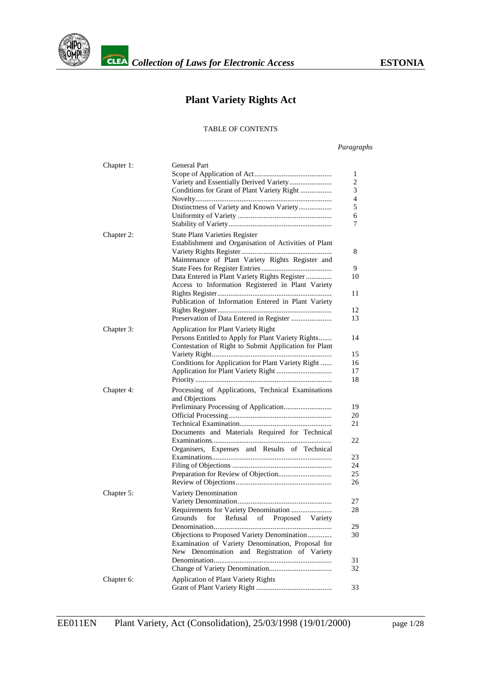

# **Plant Variety Rights Act**

#### TABLE OF CONTENTS

#### *Paragraphs*

| Chapter 1: | <b>General Part</b><br>Variety and Essentially Derived Variety<br>Conditions for Grant of Plant Variety Right                                                                                                                                                                                                   | 1<br>$\overline{c}$<br>3<br>4<br>5<br>6<br>7 |
|------------|-----------------------------------------------------------------------------------------------------------------------------------------------------------------------------------------------------------------------------------------------------------------------------------------------------------------|----------------------------------------------|
| Chapter 2: | <b>State Plant Varieties Register</b><br>Establishment and Organisation of Activities of Plant<br>Maintenance of Plant Variety Rights Register and<br>Data Entered in Plant Variety Rights Register<br>Access to Information Registered in Plant Variety<br>Publication of Information Entered in Plant Variety | 8<br>9<br>10<br>11<br>12<br>13               |
| Chapter 3: | <b>Application for Plant Variety Right</b><br>Persons Entitled to Apply for Plant Variety Rights<br>Contestation of Right to Submit Application for Plant<br>Conditions for Application for Plant Variety Right                                                                                                 | 14<br>15<br>16<br>17<br>18                   |
| Chapter 4: | Processing of Applications, Technical Examinations<br>and Objections<br>Documents and Materials Required for Technical<br>Organisers, Expenses and Results of Technical                                                                                                                                         | 19<br>20<br>21<br>22<br>23<br>24<br>25<br>26 |
| Chapter 5: | Variety Denomination<br>Requirements for Variety Denomination<br>Grounds<br>for<br>Refusal<br>of<br>Proposed<br>Variety<br>Objections to Proposed Variety Denomination<br>Examination of Variety Denomination, Proposal for<br>New Denomination and Registration of Variety                                     | 27<br>28<br>29<br>30<br>31<br>32             |
| Chapter 6: | Application of Plant Variety Rights                                                                                                                                                                                                                                                                             | 33                                           |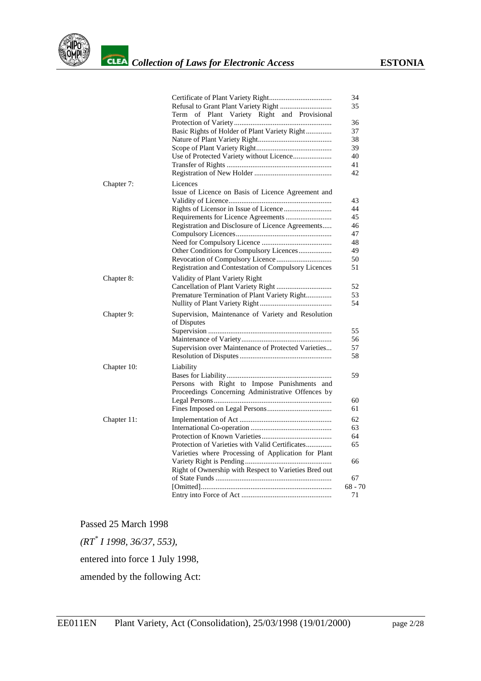

|             |                                                       | 34        |
|-------------|-------------------------------------------------------|-----------|
|             |                                                       | 35        |
|             | of Plant Variety Right and Provisional<br>Term        |           |
|             |                                                       | 36        |
|             | Basic Rights of Holder of Plant Variety Right         | 37        |
|             |                                                       | 38        |
|             |                                                       | 39        |
|             | Use of Protected Variety without Licence              | 40        |
|             |                                                       | 41        |
|             |                                                       | 42        |
|             |                                                       |           |
| Chapter 7:  | Licences                                              |           |
|             | Issue of Licence on Basis of Licence Agreement and    |           |
|             |                                                       | 43<br>44  |
|             |                                                       |           |
|             | Requirements for Licence Agreements                   | 45        |
|             | Registration and Disclosure of Licence Agreements     | 46        |
|             |                                                       | 47        |
|             |                                                       | 48        |
|             | Other Conditions for Compulsory Licences              | 49        |
|             |                                                       | 50        |
|             | Registration and Contestation of Compulsory Licences  | 51        |
| Chapter 8:  | Validity of Plant Variety Right                       |           |
|             |                                                       | 52        |
|             | Premature Termination of Plant Variety Right          | 53        |
|             |                                                       | 54        |
| Chapter 9:  | Supervision, Maintenance of Variety and Resolution    |           |
|             | of Disputes                                           |           |
|             |                                                       | 55        |
|             |                                                       | 56        |
|             | Supervision over Maintenance of Protected Varieties   | 57        |
|             |                                                       | 58        |
| Chapter 10: | Liability                                             |           |
|             |                                                       | 59        |
|             | Persons with Right to Impose Punishments and          |           |
|             | Proceedings Concerning Administrative Offences by     |           |
|             |                                                       | 60        |
|             |                                                       | 61        |
|             |                                                       |           |
| Chapter 11: |                                                       | 62        |
|             |                                                       | 63        |
|             |                                                       | 64        |
|             | Protection of Varieties with Valid Certificates       | 65        |
|             | Varieties where Processing of Application for Plant   |           |
|             |                                                       | 66        |
|             | Right of Ownership with Respect to Varieties Bred out |           |
|             |                                                       | 67        |
|             |                                                       | $68 - 70$ |
|             |                                                       | 71        |

Passed 25 March 1998

*(RT[\\*](#page-27-0) I 1998, 36/37, 553),*

entered into force 1 July 1998,

amended by the following Act: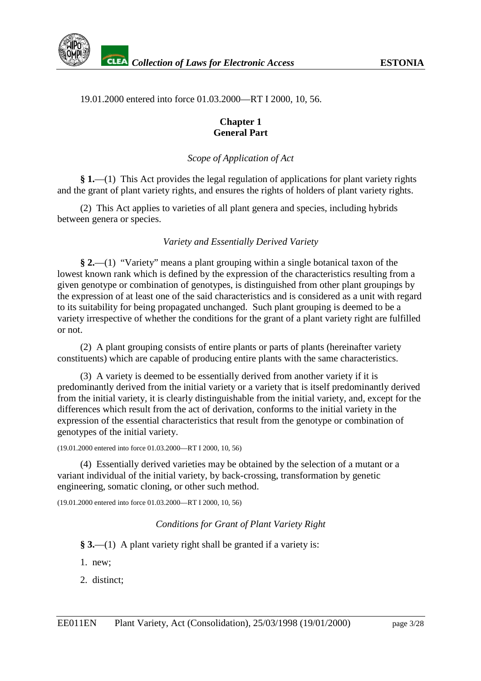# 19.01.2000 entered into force 01.03.2000—RT I 2000, 10, 56.

#### **Chapter 1 General Part**

# *Scope of Application of Act*

**§ 1.**—(1) This Act provides the legal regulation of applications for plant variety rights and the grant of plant variety rights, and ensures the rights of holders of plant variety rights.

(2) This Act applies to varieties of all plant genera and species, including hybrids between genera or species.

# *Variety and Essentially Derived Variety*

**§ 2.**—(1) "Variety" means a plant grouping within a single botanical taxon of the lowest known rank which is defined by the expression of the characteristics resulting from a given genotype or combination of genotypes, is distinguished from other plant groupings by the expression of at least one of the said characteristics and is considered as a unit with regard to its suitability for being propagated unchanged. Such plant grouping is deemed to be a variety irrespective of whether the conditions for the grant of a plant variety right are fulfilled or not.

(2) A plant grouping consists of entire plants or parts of plants (hereinafter variety constituents) which are capable of producing entire plants with the same characteristics.

(3) A variety is deemed to be essentially derived from another variety if it is predominantly derived from the initial variety or a variety that is itself predominantly derived from the initial variety, it is clearly distinguishable from the initial variety, and, except for the differences which result from the act of derivation, conforms to the initial variety in the expression of the essential characteristics that result from the genotype or combination of genotypes of the initial variety.

#### (19.01.2000 entered into force 01.03.2000—RT I 2000, 10, 56)

(4) Essentially derived varieties may be obtained by the selection of a mutant or a variant individual of the initial variety, by back-crossing, transformation by genetic engineering, somatic cloning, or other such method.

(19.01.2000 entered into force 01.03.2000—RT I 2000, 10, 56)

# *Conditions for Grant of Plant Variety Right*

**§ 3.**—(1) A plant variety right shall be granted if a variety is:

1. new;

2. distinct;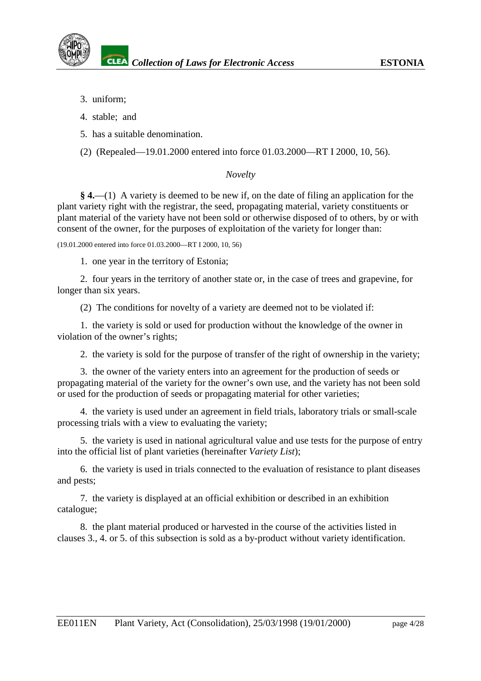- 3. uniform;
- 4. stable; and
- 5. has a suitable denomination.
- (2) (Repealed—19.01.2000 entered into force 01.03.2000—RT I 2000, 10, 56).

# *Novelty*

**§ 4.**—(1) A variety is deemed to be new if, on the date of filing an application for the plant variety right with the registrar, the seed, propagating material, variety constituents or plant material of the variety have not been sold or otherwise disposed of to others, by or with consent of the owner, for the purposes of exploitation of the variety for longer than:

(19.01.2000 entered into force 01.03.2000—RT I 2000, 10, 56)

1. one year in the territory of Estonia;

2. four years in the territory of another state or, in the case of trees and grapevine, for longer than six years.

(2) The conditions for novelty of a variety are deemed not to be violated if:

1. the variety is sold or used for production without the knowledge of the owner in violation of the owner's rights;

2. the variety is sold for the purpose of transfer of the right of ownership in the variety;

3. the owner of the variety enters into an agreement for the production of seeds or propagating material of the variety for the owner's own use, and the variety has not been sold or used for the production of seeds or propagating material for other varieties;

4. the variety is used under an agreement in field trials, laboratory trials or small-scale processing trials with a view to evaluating the variety;

5. the variety is used in national agricultural value and use tests for the purpose of entry into the official list of plant varieties (hereinafter *Variety List*);

6. the variety is used in trials connected to the evaluation of resistance to plant diseases and pests;

7. the variety is displayed at an official exhibition or described in an exhibition catalogue;

8. the plant material produced or harvested in the course of the activities listed in clauses 3., 4. or 5. of this subsection is sold as a by-product without variety identification.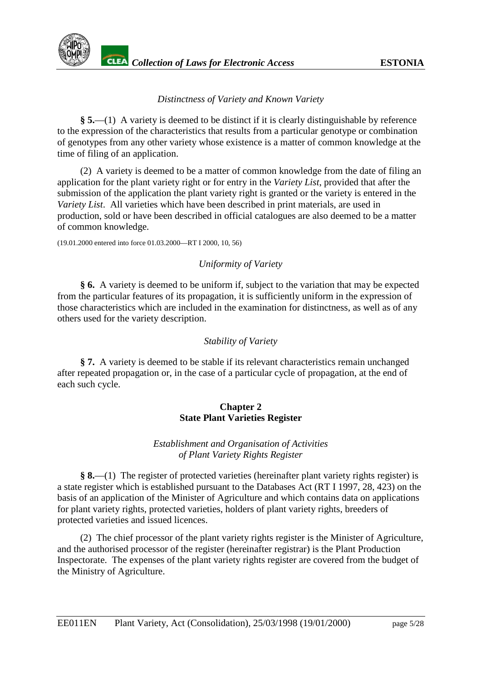

# *Distinctness of Variety and Known Variety*

**§ 5.**—(1) A variety is deemed to be distinct if it is clearly distinguishable by reference to the expression of the characteristics that results from a particular genotype or combination of genotypes from any other variety whose existence is a matter of common knowledge at the time of filing of an application.

(2) A variety is deemed to be a matter of common knowledge from the date of filing an application for the plant variety right or for entry in the *Variety List*, provided that after the submission of the application the plant variety right is granted or the variety is entered in the *Variety List*. All varieties which have been described in print materials, are used in production, sold or have been described in official catalogues are also deemed to be a matter of common knowledge.

(19.01.2000 entered into force 01.03.2000—RT I 2000, 10, 56)

# *Uniformity of Variety*

**§ 6.** A variety is deemed to be uniform if, subject to the variation that may be expected from the particular features of its propagation, it is sufficiently uniform in the expression of those characteristics which are included in the examination for distinctness, as well as of any others used for the variety description.

#### *Stability of Variety*

**§ 7.** A variety is deemed to be stable if its relevant characteristics remain unchanged after repeated propagation or, in the case of a particular cycle of propagation, at the end of each such cycle.

#### **Chapter 2 State Plant Varieties Register**

# *Establishment and Organisation of Activities of Plant Variety Rights Register*

**§ 8.**—(1) The register of protected varieties (hereinafter plant variety rights register) is a state register which is established pursuant to the Databases Act (RT I 1997, 28, 423) on the basis of an application of the Minister of Agriculture and which contains data on applications for plant variety rights, protected varieties, holders of plant variety rights, breeders of protected varieties and issued licences.

(2) The chief processor of the plant variety rights register is the Minister of Agriculture, and the authorised processor of the register (hereinafter registrar) is the Plant Production Inspectorate. The expenses of the plant variety rights register are covered from the budget of the Ministry of Agriculture.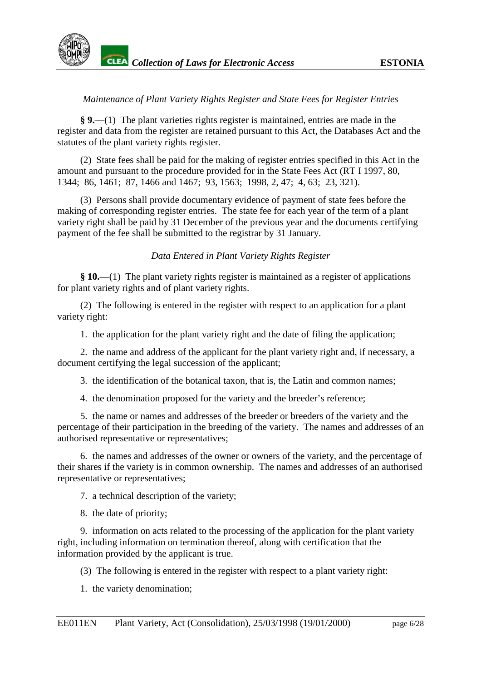

# *Maintenance of Plant Variety Rights Register and State Fees for Register Entries*

**§ 9.**—(1) The plant varieties rights register is maintained, entries are made in the register and data from the register are retained pursuant to this Act, the Databases Act and the statutes of the plant variety rights register.

(2) State fees shall be paid for the making of register entries specified in this Act in the amount and pursuant to the procedure provided for in the State Fees Act (RT I 1997, 80, 1344; 86, 1461; 87, 1466 and 1467; 93, 1563; 1998, 2, 47; 4, 63; 23, 321).

(3) Persons shall provide documentary evidence of payment of state fees before the making of corresponding register entries. The state fee for each year of the term of a plant variety right shall be paid by 31 December of the previous year and the documents certifying payment of the fee shall be submitted to the registrar by 31 January.

# *Data Entered in Plant Variety Rights Register*

**§ 10.**—(1) The plant variety rights register is maintained as a register of applications for plant variety rights and of plant variety rights.

(2) The following is entered in the register with respect to an application for a plant variety right:

1. the application for the plant variety right and the date of filing the application;

2. the name and address of the applicant for the plant variety right and, if necessary, a document certifying the legal succession of the applicant;

3. the identification of the botanical taxon, that is, the Latin and common names;

4. the denomination proposed for the variety and the breeder's reference;

5. the name or names and addresses of the breeder or breeders of the variety and the percentage of their participation in the breeding of the variety. The names and addresses of an authorised representative or representatives;

6. the names and addresses of the owner or owners of the variety, and the percentage of their shares if the variety is in common ownership. The names and addresses of an authorised representative or representatives;

7. a technical description of the variety;

8. the date of priority;

9. information on acts related to the processing of the application for the plant variety right, including information on termination thereof, along with certification that the information provided by the applicant is true.

(3) The following is entered in the register with respect to a plant variety right:

1. the variety denomination;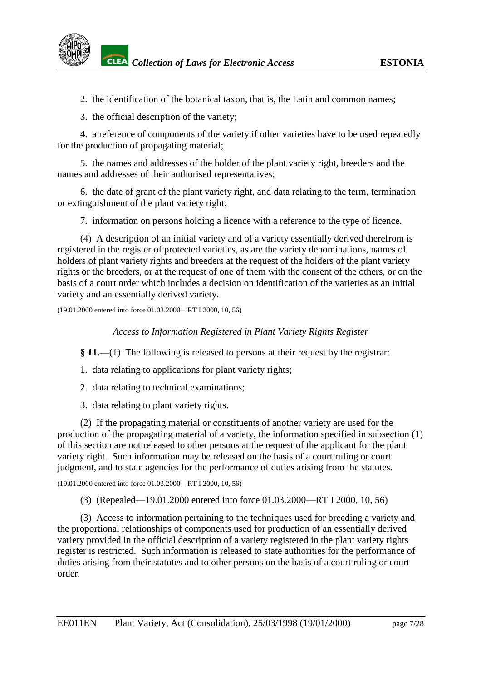2. the identification of the botanical taxon, that is, the Latin and common names;

3. the official description of the variety;

4. a reference of components of the variety if other varieties have to be used repeatedly for the production of propagating material;

5. the names and addresses of the holder of the plant variety right, breeders and the names and addresses of their authorised representatives;

6. the date of grant of the plant variety right, and data relating to the term, termination or extinguishment of the plant variety right;

7. information on persons holding a licence with a reference to the type of licence.

(4) A description of an initial variety and of a variety essentially derived therefrom is registered in the register of protected varieties, as are the variety denominations, names of holders of plant variety rights and breeders at the request of the holders of the plant variety rights or the breeders, or at the request of one of them with the consent of the others, or on the basis of a court order which includes a decision on identification of the varieties as an initial variety and an essentially derived variety.

(19.01.2000 entered into force 01.03.2000—RT I 2000, 10, 56)

*Access to Information Registered in Plant Variety Rights Register*

**§ 11.**—(1) The following is released to persons at their request by the registrar:

1. data relating to applications for plant variety rights;

- 2. data relating to technical examinations;
- 3. data relating to plant variety rights.

(2) If the propagating material or constituents of another variety are used for the production of the propagating material of a variety, the information specified in subsection (1) of this section are not released to other persons at the request of the applicant for the plant variety right. Such information may be released on the basis of a court ruling or court judgment, and to state agencies for the performance of duties arising from the statutes.

(19.01.2000 entered into force 01.03.2000—RT I 2000, 10, 56)

(3) (Repealed—19.01.2000 entered into force 01.03.2000—RT I 2000, 10, 56)

(3) Access to information pertaining to the techniques used for breeding a variety and the proportional relationships of components used for production of an essentially derived variety provided in the official description of a variety registered in the plant variety rights register is restricted. Such information is released to state authorities for the performance of duties arising from their statutes and to other persons on the basis of a court ruling or court order.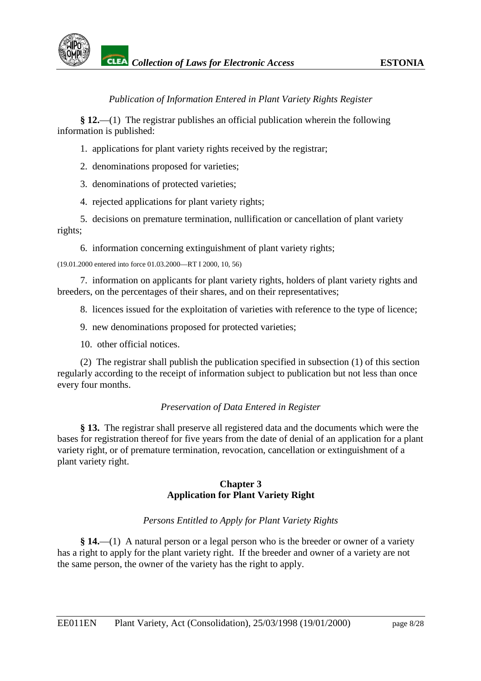

# *Publication of Information Entered in Plant Variety Rights Register*

**§ 12.**—(1) The registrar publishes an official publication wherein the following information is published:

1. applications for plant variety rights received by the registrar;

2. denominations proposed for varieties;

3. denominations of protected varieties;

4. rejected applications for plant variety rights;

5. decisions on premature termination, nullification or cancellation of plant variety rights;

6. information concerning extinguishment of plant variety rights;

(19.01.2000 entered into force 01.03.2000—RT I 2000, 10, 56)

7. information on applicants for plant variety rights, holders of plant variety rights and breeders, on the percentages of their shares, and on their representatives;

8. licences issued for the exploitation of varieties with reference to the type of licence;

9. new denominations proposed for protected varieties;

10. other official notices.

(2) The registrar shall publish the publication specified in subsection (1) of this section regularly according to the receipt of information subject to publication but not less than once every four months.

# *Preservation of Data Entered in Register*

**§ 13.** The registrar shall preserve all registered data and the documents which were the bases for registration thereof for five years from the date of denial of an application for a plant variety right, or of premature termination, revocation, cancellation or extinguishment of a plant variety right.

# **Chapter 3 Application for Plant Variety Right**

# *Persons Entitled to Apply for Plant Variety Rights*

**§ 14.**—(1) A natural person or a legal person who is the breeder or owner of a variety has a right to apply for the plant variety right. If the breeder and owner of a variety are not the same person, the owner of the variety has the right to apply.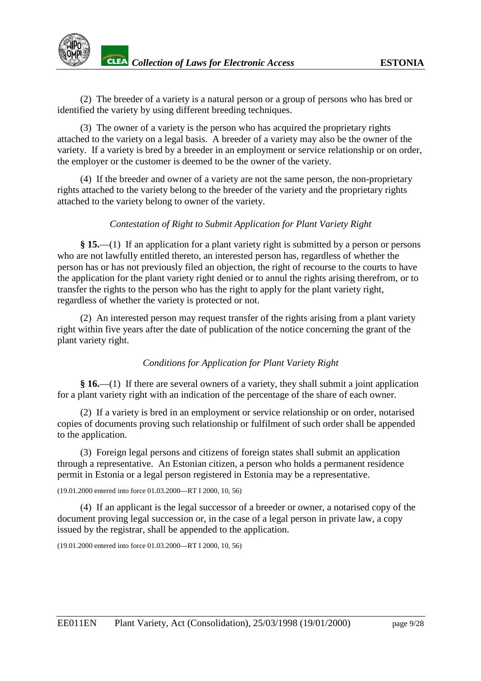(2) The breeder of a variety is a natural person or a group of persons who has bred or identified the variety by using different breeding techniques.

(3) The owner of a variety is the person who has acquired the proprietary rights attached to the variety on a legal basis. A breeder of a variety may also be the owner of the variety. If a variety is bred by a breeder in an employment or service relationship or on order, the employer or the customer is deemed to be the owner of the variety.

(4) If the breeder and owner of a variety are not the same person, the non-proprietary rights attached to the variety belong to the breeder of the variety and the proprietary rights attached to the variety belong to owner of the variety.

# *Contestation of Right to Submit Application for Plant Variety Right*

**§ 15.**—(1) If an application for a plant variety right is submitted by a person or persons who are not lawfully entitled thereto, an interested person has, regardless of whether the person has or has not previously filed an objection, the right of recourse to the courts to have the application for the plant variety right denied or to annul the rights arising therefrom, or to transfer the rights to the person who has the right to apply for the plant variety right, regardless of whether the variety is protected or not.

(2) An interested person may request transfer of the rights arising from a plant variety right within five years after the date of publication of the notice concerning the grant of the plant variety right.

# *Conditions for Application for Plant Variety Right*

**§ 16.**—(1) If there are several owners of a variety, they shall submit a joint application for a plant variety right with an indication of the percentage of the share of each owner.

(2) If a variety is bred in an employment or service relationship or on order, notarised copies of documents proving such relationship or fulfilment of such order shall be appended to the application.

(3) Foreign legal persons and citizens of foreign states shall submit an application through a representative. An Estonian citizen, a person who holds a permanent residence permit in Estonia or a legal person registered in Estonia may be a representative.

(19.01.2000 entered into force 01.03.2000—RT I 2000, 10, 56)

(4) If an applicant is the legal successor of a breeder or owner, a notarised copy of the document proving legal succession or, in the case of a legal person in private law, a copy issued by the registrar, shall be appended to the application.

(19.01.2000 entered into force 01.03.2000—RT I 2000, 10, 56)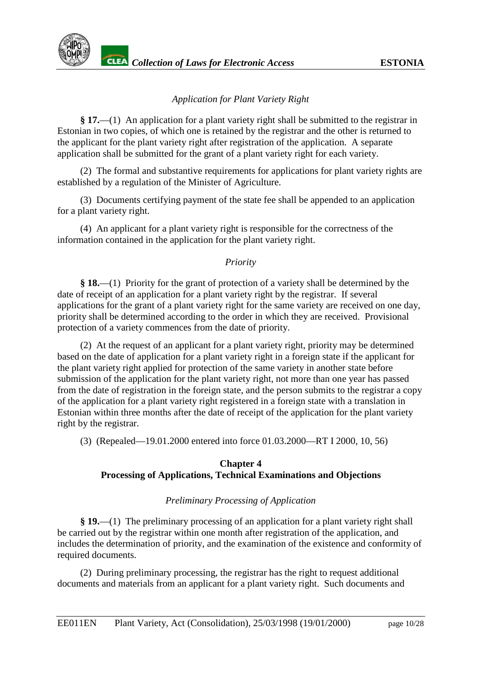

# *Application for Plant Variety Right*

**§ 17.**—(1) An application for a plant variety right shall be submitted to the registrar in Estonian in two copies, of which one is retained by the registrar and the other is returned to the applicant for the plant variety right after registration of the application. A separate application shall be submitted for the grant of a plant variety right for each variety.

(2) The formal and substantive requirements for applications for plant variety rights are established by a regulation of the Minister of Agriculture.

(3) Documents certifying payment of the state fee shall be appended to an application for a plant variety right.

(4) An applicant for a plant variety right is responsible for the correctness of the information contained in the application for the plant variety right.

# *Priority*

**§ 18.**—(1) Priority for the grant of protection of a variety shall be determined by the date of receipt of an application for a plant variety right by the registrar. If several applications for the grant of a plant variety right for the same variety are received on one day, priority shall be determined according to the order in which they are received. Provisional protection of a variety commences from the date of priority.

(2) At the request of an applicant for a plant variety right, priority may be determined based on the date of application for a plant variety right in a foreign state if the applicant for the plant variety right applied for protection of the same variety in another state before submission of the application for the plant variety right, not more than one year has passed from the date of registration in the foreign state, and the person submits to the registrar a copy of the application for a plant variety right registered in a foreign state with a translation in Estonian within three months after the date of receipt of the application for the plant variety right by the registrar.

(3) (Repealed—19.01.2000 entered into force 01.03.2000—RT I 2000, 10, 56)

# **Chapter 4 Processing of Applications, Technical Examinations and Objections**

# *Preliminary Processing of Application*

**§ 19.**—(1) The preliminary processing of an application for a plant variety right shall be carried out by the registrar within one month after registration of the application, and includes the determination of priority, and the examination of the existence and conformity of required documents.

(2) During preliminary processing, the registrar has the right to request additional documents and materials from an applicant for a plant variety right. Such documents and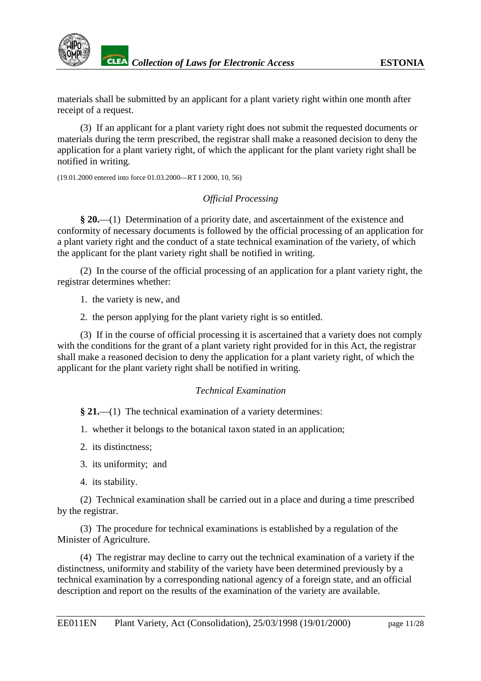

materials shall be submitted by an applicant for a plant variety right within one month after receipt of a request.

(3) If an applicant for a plant variety right does not submit the requested documents or materials during the term prescribed, the registrar shall make a reasoned decision to deny the application for a plant variety right, of which the applicant for the plant variety right shall be notified in writing.

(19.01.2000 entered into force 01.03.2000—RT I 2000, 10, 56)

# *Official Processing*

**§ 20.**—(1) Determination of a priority date, and ascertainment of the existence and conformity of necessary documents is followed by the official processing of an application for a plant variety right and the conduct of a state technical examination of the variety, of which the applicant for the plant variety right shall be notified in writing.

(2) In the course of the official processing of an application for a plant variety right, the registrar determines whether:

1. the variety is new, and

2. the person applying for the plant variety right is so entitled.

(3) If in the course of official processing it is ascertained that a variety does not comply with the conditions for the grant of a plant variety right provided for in this Act, the registrar shall make a reasoned decision to deny the application for a plant variety right, of which the applicant for the plant variety right shall be notified in writing.

# *Technical Examination*

**§ 21.**—(1) The technical examination of a variety determines:

- 1. whether it belongs to the botanical taxon stated in an application;
- 2. its distinctness;
- 3. its uniformity; and
- 4. its stability.

(2) Technical examination shall be carried out in a place and during a time prescribed by the registrar.

(3) The procedure for technical examinations is established by a regulation of the Minister of Agriculture.

(4) The registrar may decline to carry out the technical examination of a variety if the distinctness, uniformity and stability of the variety have been determined previously by a technical examination by a corresponding national agency of a foreign state, and an official description and report on the results of the examination of the variety are available.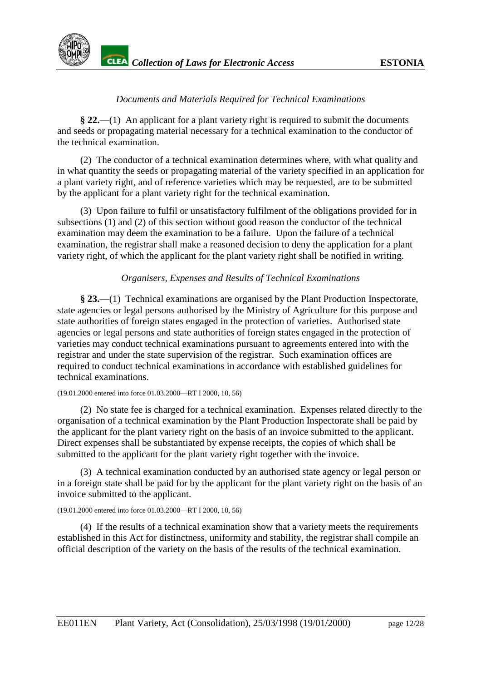

# *Documents and Materials Required for Technical Examinations*

**§ 22.**—(1) An applicant for a plant variety right is required to submit the documents and seeds or propagating material necessary for a technical examination to the conductor of the technical examination.

(2) The conductor of a technical examination determines where, with what quality and in what quantity the seeds or propagating material of the variety specified in an application for a plant variety right, and of reference varieties which may be requested, are to be submitted by the applicant for a plant variety right for the technical examination.

(3) Upon failure to fulfil or unsatisfactory fulfilment of the obligations provided for in subsections (1) and (2) of this section without good reason the conductor of the technical examination may deem the examination to be a failure. Upon the failure of a technical examination, the registrar shall make a reasoned decision to deny the application for a plant variety right, of which the applicant for the plant variety right shall be notified in writing.

# *Organisers, Expenses and Results of Technical Examinations*

**§ 23.**—(1) Technical examinations are organised by the Plant Production Inspectorate, state agencies or legal persons authorised by the Ministry of Agriculture for this purpose and state authorities of foreign states engaged in the protection of varieties. Authorised state agencies or legal persons and state authorities of foreign states engaged in the protection of varieties may conduct technical examinations pursuant to agreements entered into with the registrar and under the state supervision of the registrar. Such examination offices are required to conduct technical examinations in accordance with established guidelines for technical examinations.

#### (19.01.2000 entered into force 01.03.2000—RT I 2000, 10, 56)

(2) No state fee is charged for a technical examination. Expenses related directly to the organisation of a technical examination by the Plant Production Inspectorate shall be paid by the applicant for the plant variety right on the basis of an invoice submitted to the applicant. Direct expenses shall be substantiated by expense receipts, the copies of which shall be submitted to the applicant for the plant variety right together with the invoice.

(3) A technical examination conducted by an authorised state agency or legal person or in a foreign state shall be paid for by the applicant for the plant variety right on the basis of an invoice submitted to the applicant.

#### (19.01.2000 entered into force 01.03.2000—RT I 2000, 10, 56)

(4) If the results of a technical examination show that a variety meets the requirements established in this Act for distinctness, uniformity and stability, the registrar shall compile an official description of the variety on the basis of the results of the technical examination.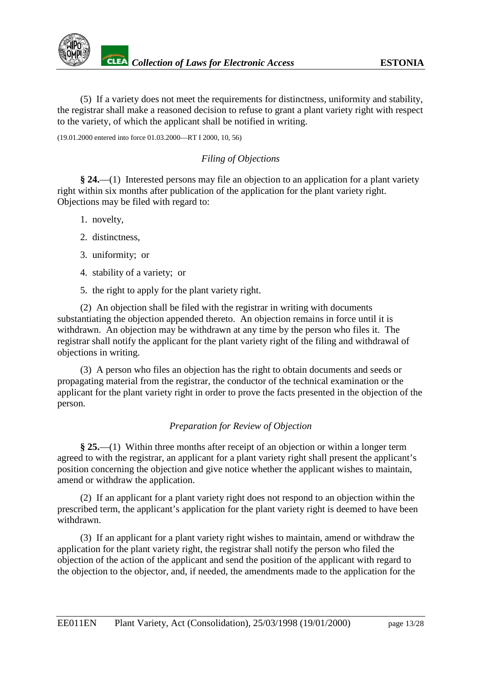

(5) If a variety does not meet the requirements for distinctness, uniformity and stability, the registrar shall make a reasoned decision to refuse to grant a plant variety right with respect to the variety, of which the applicant shall be notified in writing.

(19.01.2000 entered into force 01.03.2000—RT I 2000, 10, 56)

# *Filing of Objections*

**§ 24.**—(1) Interested persons may file an objection to an application for a plant variety right within six months after publication of the application for the plant variety right. Objections may be filed with regard to:

- 1. novelty,
- 2. distinctness,
- 3. uniformity; or
- 4. stability of a variety; or
- 5. the right to apply for the plant variety right.

(2) An objection shall be filed with the registrar in writing with documents substantiating the objection appended thereto. An objection remains in force until it is withdrawn. An objection may be withdrawn at any time by the person who files it. The registrar shall notify the applicant for the plant variety right of the filing and withdrawal of objections in writing.

(3) A person who files an objection has the right to obtain documents and seeds or propagating material from the registrar, the conductor of the technical examination or the applicant for the plant variety right in order to prove the facts presented in the objection of the person.

# *Preparation for Review of Objection*

**§ 25.**—(1) Within three months after receipt of an objection or within a longer term agreed to with the registrar, an applicant for a plant variety right shall present the applicant's position concerning the objection and give notice whether the applicant wishes to maintain, amend or withdraw the application.

(2) If an applicant for a plant variety right does not respond to an objection within the prescribed term, the applicant's application for the plant variety right is deemed to have been withdrawn.

(3) If an applicant for a plant variety right wishes to maintain, amend or withdraw the application for the plant variety right, the registrar shall notify the person who filed the objection of the action of the applicant and send the position of the applicant with regard to the objection to the objector, and, if needed, the amendments made to the application for the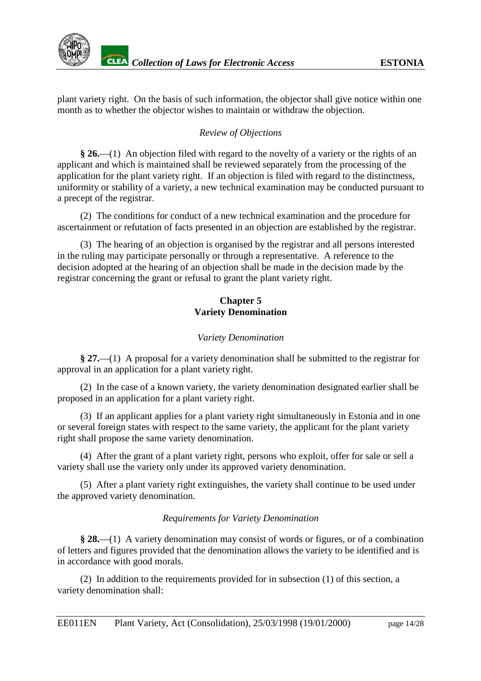plant variety right. On the basis of such information, the objector shall give notice within one month as to whether the objector wishes to maintain or withdraw the objection.

# *Review of Objections*

**§ 26.**—(1) An objection filed with regard to the novelty of a variety or the rights of an applicant and which is maintained shall be reviewed separately from the processing of the application for the plant variety right. If an objection is filed with regard to the distinctness, uniformity or stability of a variety, a new technical examination may be conducted pursuant to a precept of the registrar.

(2) The conditions for conduct of a new technical examination and the procedure for ascertainment or refutation of facts presented in an objection are established by the registrar.

(3) The hearing of an objection is organised by the registrar and all persons interested in the ruling may participate personally or through a representative. A reference to the decision adopted at the hearing of an objection shall be made in the decision made by the registrar concerning the grant or refusal to grant the plant variety right.

# **Chapter 5 Variety Denomination**

# *Variety Denomination*

**§ 27.**—(1) A proposal for a variety denomination shall be submitted to the registrar for approval in an application for a plant variety right.

(2) In the case of a known variety, the variety denomination designated earlier shall be proposed in an application for a plant variety right.

(3) If an applicant applies for a plant variety right simultaneously in Estonia and in one or several foreign states with respect to the same variety, the applicant for the plant variety right shall propose the same variety denomination.

(4) After the grant of a plant variety right, persons who exploit, offer for sale or sell a variety shall use the variety only under its approved variety denomination.

(5) After a plant variety right extinguishes, the variety shall continue to be used under the approved variety denomination.

# *Requirements for Variety Denomination*

**§ 28.**—(1) A variety denomination may consist of words or figures, or of a combination of letters and figures provided that the denomination allows the variety to be identified and is in accordance with good morals.

(2) In addition to the requirements provided for in subsection (1) of this section, a variety denomination shall: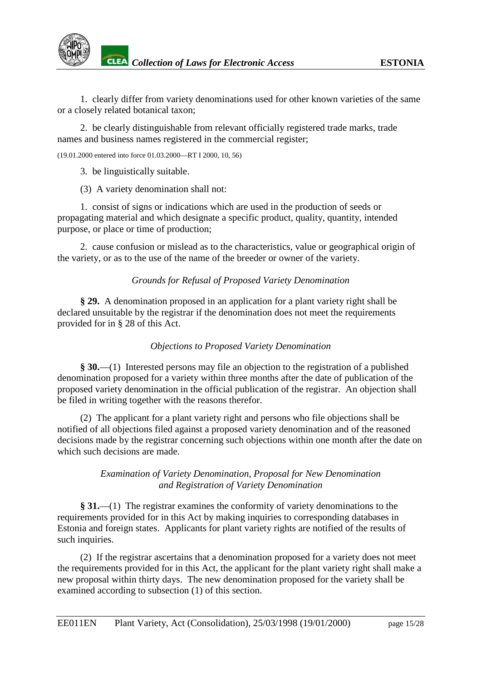

1. clearly differ from variety denominations used for other known varieties of the same or a closely related botanical taxon;

2. be clearly distinguishable from relevant officially registered trade marks, trade names and business names registered in the commercial register;

(19.01.2000 entered into force 01.03.2000—RT I 2000, 10, 56)

3. be linguistically suitable.

(3) A variety denomination shall not:

1. consist of signs or indications which are used in the production of seeds or propagating material and which designate a specific product, quality, quantity, intended purpose, or place or time of production;

2. cause confusion or mislead as to the characteristics, value or geographical origin of the variety, or as to the use of the name of the breeder or owner of the variety.

#### *Grounds for Refusal of Proposed Variety Denomination*

**§ 29.** A denomination proposed in an application for a plant variety right shall be declared unsuitable by the registrar if the denomination does not meet the requirements provided for in § 28 of this Act.

#### *Objections to Proposed Variety Denomination*

**§ 30.**—(1) Interested persons may file an objection to the registration of a published denomination proposed for a variety within three months after the date of publication of the proposed variety denomination in the official publication of the registrar. An objection shall be filed in writing together with the reasons therefor.

(2) The applicant for a plant variety right and persons who file objections shall be notified of all objections filed against a proposed variety denomination and of the reasoned decisions made by the registrar concerning such objections within one month after the date on which such decisions are made.

#### *Examination of Variety Denomination, Proposal for New Denomination and Registration of Variety Denomination*

**§ 31.**—(1) The registrar examines the conformity of variety denominations to the requirements provided for in this Act by making inquiries to corresponding databases in Estonia and foreign states. Applicants for plant variety rights are notified of the results of such inquiries.

(2) If the registrar ascertains that a denomination proposed for a variety does not meet the requirements provided for in this Act, the applicant for the plant variety right shall make a new proposal within thirty days. The new denomination proposed for the variety shall be examined according to subsection (1) of this section.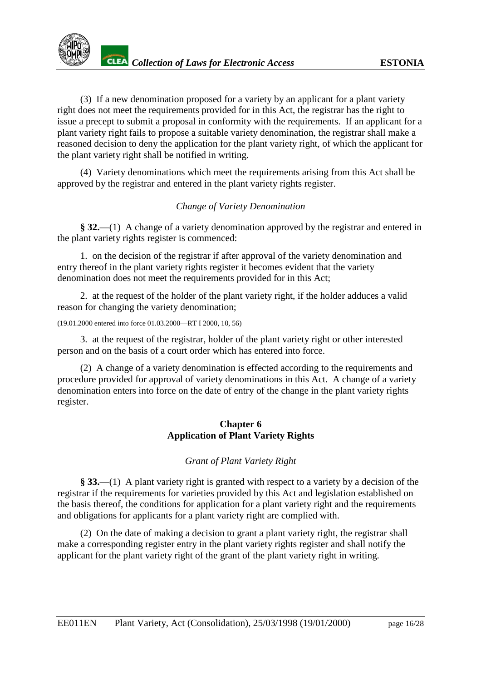(3) If a new denomination proposed for a variety by an applicant for a plant variety right does not meet the requirements provided for in this Act, the registrar has the right to issue a precept to submit a proposal in conformity with the requirements. If an applicant for a plant variety right fails to propose a suitable variety denomination, the registrar shall make a reasoned decision to deny the application for the plant variety right, of which the applicant for the plant variety right shall be notified in writing.

(4) Variety denominations which meet the requirements arising from this Act shall be approved by the registrar and entered in the plant variety rights register.

# *Change of Variety Denomination*

**§ 32.**—(1) A change of a variety denomination approved by the registrar and entered in the plant variety rights register is commenced:

1. on the decision of the registrar if after approval of the variety denomination and entry thereof in the plant variety rights register it becomes evident that the variety denomination does not meet the requirements provided for in this Act;

2. at the request of the holder of the plant variety right, if the holder adduces a valid reason for changing the variety denomination;

```
(19.01.2000 entered into force 01.03.2000—RT I 2000, 10, 56)
```
3. at the request of the registrar, holder of the plant variety right or other interested person and on the basis of a court order which has entered into force.

(2) A change of a variety denomination is effected according to the requirements and procedure provided for approval of variety denominations in this Act. A change of a variety denomination enters into force on the date of entry of the change in the plant variety rights register.

# **Chapter 6 Application of Plant Variety Rights**

# *Grant of Plant Variety Right*

**§ 33.**—(1) A plant variety right is granted with respect to a variety by a decision of the registrar if the requirements for varieties provided by this Act and legislation established on the basis thereof, the conditions for application for a plant variety right and the requirements and obligations for applicants for a plant variety right are complied with.

(2) On the date of making a decision to grant a plant variety right, the registrar shall make a corresponding register entry in the plant variety rights register and shall notify the applicant for the plant variety right of the grant of the plant variety right in writing.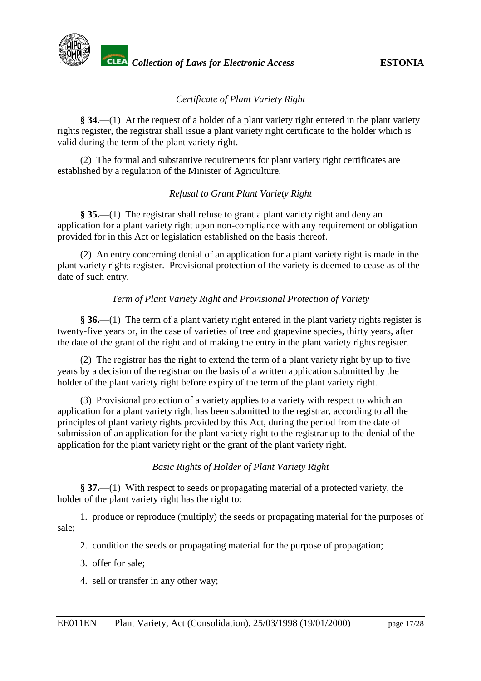

# *Certificate of Plant Variety Right*

**§ 34.**—(1) At the request of a holder of a plant variety right entered in the plant variety rights register, the registrar shall issue a plant variety right certificate to the holder which is valid during the term of the plant variety right.

(2) The formal and substantive requirements for plant variety right certificates are established by a regulation of the Minister of Agriculture.

# *Refusal to Grant Plant Variety Right*

**§ 35.**—(1) The registrar shall refuse to grant a plant variety right and deny an application for a plant variety right upon non-compliance with any requirement or obligation provided for in this Act or legislation established on the basis thereof.

(2) An entry concerning denial of an application for a plant variety right is made in the plant variety rights register. Provisional protection of the variety is deemed to cease as of the date of such entry.

# *Term of Plant Variety Right and Provisional Protection of Variety*

**§ 36.**—(1) The term of a plant variety right entered in the plant variety rights register is twenty-five years or, in the case of varieties of tree and grapevine species, thirty years, after the date of the grant of the right and of making the entry in the plant variety rights register.

(2) The registrar has the right to extend the term of a plant variety right by up to five years by a decision of the registrar on the basis of a written application submitted by the holder of the plant variety right before expiry of the term of the plant variety right.

(3) Provisional protection of a variety applies to a variety with respect to which an application for a plant variety right has been submitted to the registrar, according to all the principles of plant variety rights provided by this Act, during the period from the date of submission of an application for the plant variety right to the registrar up to the denial of the application for the plant variety right or the grant of the plant variety right.

# *Basic Rights of Holder of Plant Variety Right*

**§ 37.**—(1) With respect to seeds or propagating material of a protected variety, the holder of the plant variety right has the right to:

1. produce or reproduce (multiply) the seeds or propagating material for the purposes of sale;

- 2. condition the seeds or propagating material for the purpose of propagation;
- 3. offer for sale;
- 4. sell or transfer in any other way;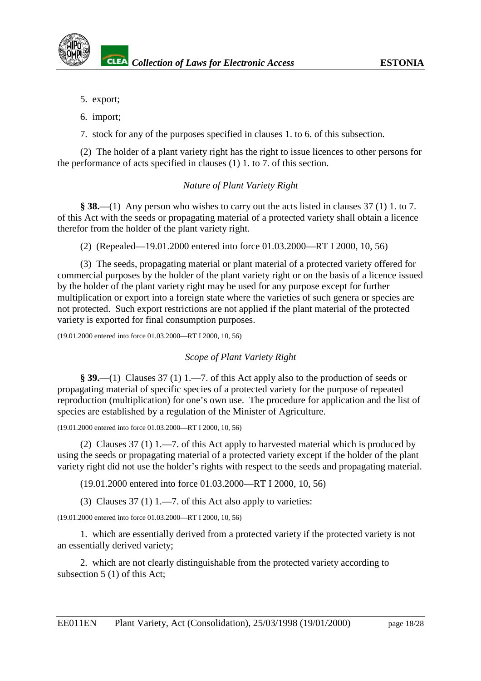- 5. export;
- 6. import;

7. stock for any of the purposes specified in clauses 1. to 6. of this subsection.

(2) The holder of a plant variety right has the right to issue licences to other persons for the performance of acts specified in clauses (1) 1. to 7. of this section.

# *Nature of Plant Variety Right*

**§ 38.**—(1) Any person who wishes to carry out the acts listed in clauses 37 (1) 1. to 7. of this Act with the seeds or propagating material of a protected variety shall obtain a licence therefor from the holder of the plant variety right.

(2) (Repealed—19.01.2000 entered into force 01.03.2000—RT I 2000, 10, 56)

(3) The seeds, propagating material or plant material of a protected variety offered for commercial purposes by the holder of the plant variety right or on the basis of a licence issued by the holder of the plant variety right may be used for any purpose except for further multiplication or export into a foreign state where the varieties of such genera or species are not protected. Such export restrictions are not applied if the plant material of the protected variety is exported for final consumption purposes.

(19.01.2000 entered into force 01.03.2000—RT I 2000, 10, 56)

*Scope of Plant Variety Right*

**§ 39.**—(1) Clauses 37 (1) 1.—7. of this Act apply also to the production of seeds or propagating material of specific species of a protected variety for the purpose of repeated reproduction (multiplication) for one's own use. The procedure for application and the list of species are established by a regulation of the Minister of Agriculture.

(19.01.2000 entered into force 01.03.2000—RT I 2000, 10, 56)

(2) Clauses 37 (1) 1.—7. of this Act apply to harvested material which is produced by using the seeds or propagating material of a protected variety except if the holder of the plant variety right did not use the holder's rights with respect to the seeds and propagating material.

(19.01.2000 entered into force 01.03.2000—RT I 2000, 10, 56)

(3) Clauses  $37(1)$  1.—7. of this Act also apply to varieties:

(19.01.2000 entered into force 01.03.2000—RT I 2000, 10, 56)

1. which are essentially derived from a protected variety if the protected variety is not an essentially derived variety;

2. which are not clearly distinguishable from the protected variety according to subsection 5 (1) of this Act;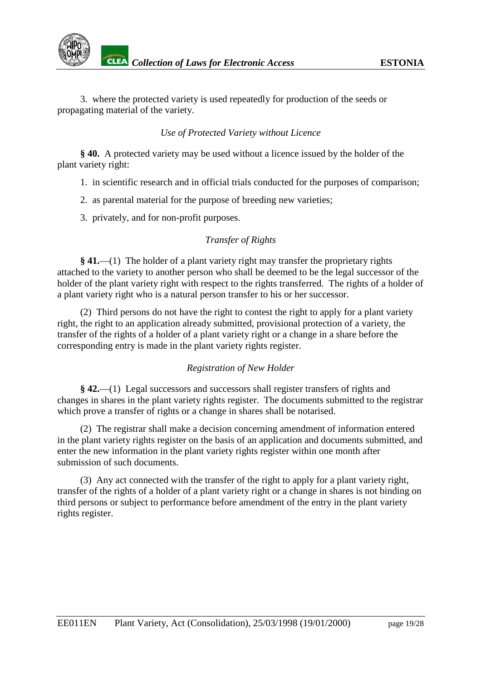3. where the protected variety is used repeatedly for production of the seeds or propagating material of the variety.

# *Use of Protected Variety without Licence*

**§ 40.** A protected variety may be used without a licence issued by the holder of the plant variety right:

- 1. in scientific research and in official trials conducted for the purposes of comparison;
- 2. as parental material for the purpose of breeding new varieties;
- 3. privately, and for non-profit purposes.

# *Transfer of Rights*

**§ 41.**—(1) The holder of a plant variety right may transfer the proprietary rights attached to the variety to another person who shall be deemed to be the legal successor of the holder of the plant variety right with respect to the rights transferred. The rights of a holder of a plant variety right who is a natural person transfer to his or her successor.

(2) Third persons do not have the right to contest the right to apply for a plant variety right, the right to an application already submitted, provisional protection of a variety, the transfer of the rights of a holder of a plant variety right or a change in a share before the corresponding entry is made in the plant variety rights register.

# *Registration of New Holder*

**§ 42.**—(1) Legal successors and successors shall register transfers of rights and changes in shares in the plant variety rights register. The documents submitted to the registrar which prove a transfer of rights or a change in shares shall be notarised.

(2) The registrar shall make a decision concerning amendment of information entered in the plant variety rights register on the basis of an application and documents submitted, and enter the new information in the plant variety rights register within one month after submission of such documents.

(3) Any act connected with the transfer of the right to apply for a plant variety right, transfer of the rights of a holder of a plant variety right or a change in shares is not binding on third persons or subject to performance before amendment of the entry in the plant variety rights register.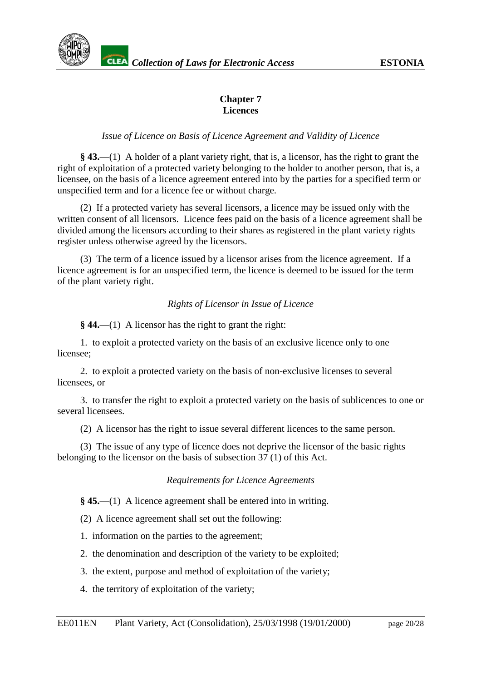# **Chapter 7 Licences**

# *Issue of Licence on Basis of Licence Agreement and Validity of Licence*

**§ 43.**—(1) A holder of a plant variety right, that is, a licensor, has the right to grant the right of exploitation of a protected variety belonging to the holder to another person, that is, a licensee, on the basis of a licence agreement entered into by the parties for a specified term or unspecified term and for a licence fee or without charge.

(2) If a protected variety has several licensors, a licence may be issued only with the written consent of all licensors. Licence fees paid on the basis of a licence agreement shall be divided among the licensors according to their shares as registered in the plant variety rights register unless otherwise agreed by the licensors.

(3) The term of a licence issued by a licensor arises from the licence agreement. If a licence agreement is for an unspecified term, the licence is deemed to be issued for the term of the plant variety right.

# *Rights of Licensor in Issue of Licence*

**§ 44.**—(1) A licensor has the right to grant the right:

1. to exploit a protected variety on the basis of an exclusive licence only to one licensee;

2. to exploit a protected variety on the basis of non-exclusive licenses to several licensees, or

3. to transfer the right to exploit a protected variety on the basis of sublicences to one or several licensees.

(2) A licensor has the right to issue several different licences to the same person.

(3) The issue of any type of licence does not deprive the licensor of the basic rights belonging to the licensor on the basis of subsection 37 (1) of this Act.

# *Requirements for Licence Agreements*

**§ 45.**—(1) A licence agreement shall be entered into in writing.

(2) A licence agreement shall set out the following:

1. information on the parties to the agreement;

- 2. the denomination and description of the variety to be exploited;
- 3. the extent, purpose and method of exploitation of the variety;
- 4. the territory of exploitation of the variety;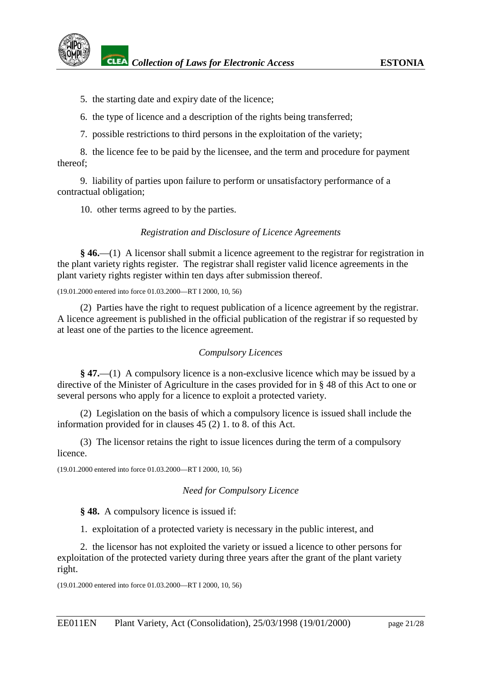5. the starting date and expiry date of the licence;

6. the type of licence and a description of the rights being transferred;

7. possible restrictions to third persons in the exploitation of the variety;

8. the licence fee to be paid by the licensee, and the term and procedure for payment thereof;

9. liability of parties upon failure to perform or unsatisfactory performance of a contractual obligation;

10. other terms agreed to by the parties.

# *Registration and Disclosure of Licence Agreements*

**§ 46.**—(1) A licensor shall submit a licence agreement to the registrar for registration in the plant variety rights register. The registrar shall register valid licence agreements in the plant variety rights register within ten days after submission thereof.

(19.01.2000 entered into force 01.03.2000—RT I 2000, 10, 56)

(2) Parties have the right to request publication of a licence agreement by the registrar. A licence agreement is published in the official publication of the registrar if so requested by at least one of the parties to the licence agreement.

# *Compulsory Licences*

**§ 47.**—(1) A compulsory licence is a non-exclusive licence which may be issued by a directive of the Minister of Agriculture in the cases provided for in § 48 of this Act to one or several persons who apply for a licence to exploit a protected variety.

(2) Legislation on the basis of which a compulsory licence is issued shall include the information provided for in clauses 45 (2) 1. to 8. of this Act.

(3) The licensor retains the right to issue licences during the term of a compulsory licence.

(19.01.2000 entered into force 01.03.2000—RT I 2000, 10, 56)

# *Need for Compulsory Licence*

**§ 48.** A compulsory licence is issued if:

1. exploitation of a protected variety is necessary in the public interest, and

2. the licensor has not exploited the variety or issued a licence to other persons for exploitation of the protected variety during three years after the grant of the plant variety right.

(19.01.2000 entered into force 01.03.2000—RT I 2000, 10, 56)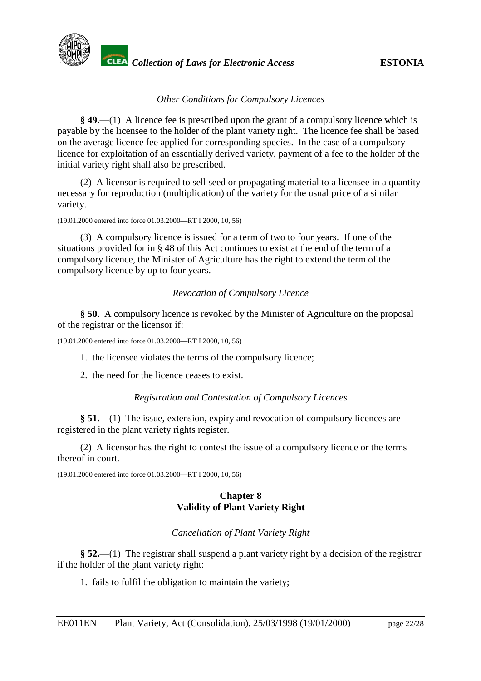

# *Other Conditions for Compulsory Licences*

**§ 49.**—(1) A licence fee is prescribed upon the grant of a compulsory licence which is payable by the licensee to the holder of the plant variety right. The licence fee shall be based on the average licence fee applied for corresponding species. In the case of a compulsory licence for exploitation of an essentially derived variety, payment of a fee to the holder of the initial variety right shall also be prescribed.

(2) A licensor is required to sell seed or propagating material to a licensee in a quantity necessary for reproduction (multiplication) of the variety for the usual price of a similar variety.

(19.01.2000 entered into force 01.03.2000—RT I 2000, 10, 56)

(3) A compulsory licence is issued for a term of two to four years. If one of the situations provided for in § 48 of this Act continues to exist at the end of the term of a compulsory licence, the Minister of Agriculture has the right to extend the term of the compulsory licence by up to four years.

# *Revocation of Compulsory Licence*

**§ 50.** A compulsory licence is revoked by the Minister of Agriculture on the proposal of the registrar or the licensor if:

(19.01.2000 entered into force 01.03.2000—RT I 2000, 10, 56)

- 1. the licensee violates the terms of the compulsory licence;
- 2. the need for the licence ceases to exist.

# *Registration and Contestation of Compulsory Licences*

**§ 51.**—(1) The issue, extension, expiry and revocation of compulsory licences are registered in the plant variety rights register.

(2) A licensor has the right to contest the issue of a compulsory licence or the terms thereof in court.

(19.01.2000 entered into force 01.03.2000—RT I 2000, 10, 56)

# **Chapter 8 Validity of Plant Variety Right**

# *Cancellation of Plant Variety Right*

**§ 52.**—(1) The registrar shall suspend a plant variety right by a decision of the registrar if the holder of the plant variety right:

1. fails to fulfil the obligation to maintain the variety;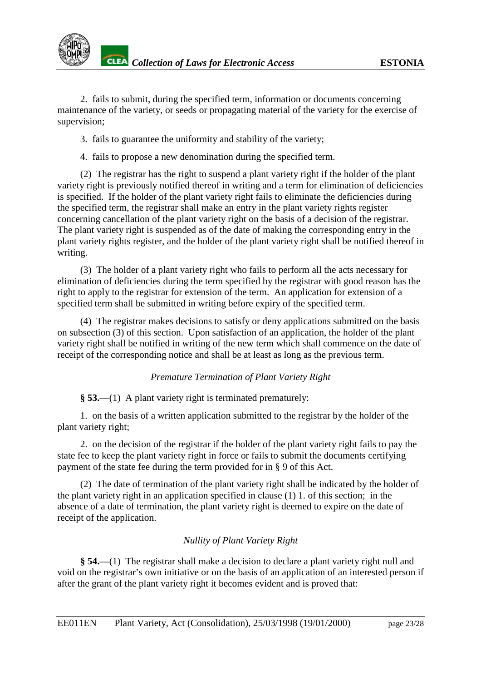2. fails to submit, during the specified term, information or documents concerning maintenance of the variety, or seeds or propagating material of the variety for the exercise of supervision;

3. fails to guarantee the uniformity and stability of the variety;

4. fails to propose a new denomination during the specified term.

(2) The registrar has the right to suspend a plant variety right if the holder of the plant variety right is previously notified thereof in writing and a term for elimination of deficiencies is specified. If the holder of the plant variety right fails to eliminate the deficiencies during the specified term, the registrar shall make an entry in the plant variety rights register concerning cancellation of the plant variety right on the basis of a decision of the registrar. The plant variety right is suspended as of the date of making the corresponding entry in the plant variety rights register, and the holder of the plant variety right shall be notified thereof in writing.

(3) The holder of a plant variety right who fails to perform all the acts necessary for elimination of deficiencies during the term specified by the registrar with good reason has the right to apply to the registrar for extension of the term. An application for extension of a specified term shall be submitted in writing before expiry of the specified term.

(4) The registrar makes decisions to satisfy or deny applications submitted on the basis on subsection (3) of this section. Upon satisfaction of an application, the holder of the plant variety right shall be notified in writing of the new term which shall commence on the date of receipt of the corresponding notice and shall be at least as long as the previous term.

# *Premature Termination of Plant Variety Right*

**§ 53.**—(1) A plant variety right is terminated prematurely:

1. on the basis of a written application submitted to the registrar by the holder of the plant variety right;

2. on the decision of the registrar if the holder of the plant variety right fails to pay the state fee to keep the plant variety right in force or fails to submit the documents certifying payment of the state fee during the term provided for in § 9 of this Act.

(2) The date of termination of the plant variety right shall be indicated by the holder of the plant variety right in an application specified in clause (1) 1. of this section; in the absence of a date of termination, the plant variety right is deemed to expire on the date of receipt of the application.

# *Nullity of Plant Variety Right*

**§ 54.**—(1) The registrar shall make a decision to declare a plant variety right null and void on the registrar's own initiative or on the basis of an application of an interested person if after the grant of the plant variety right it becomes evident and is proved that: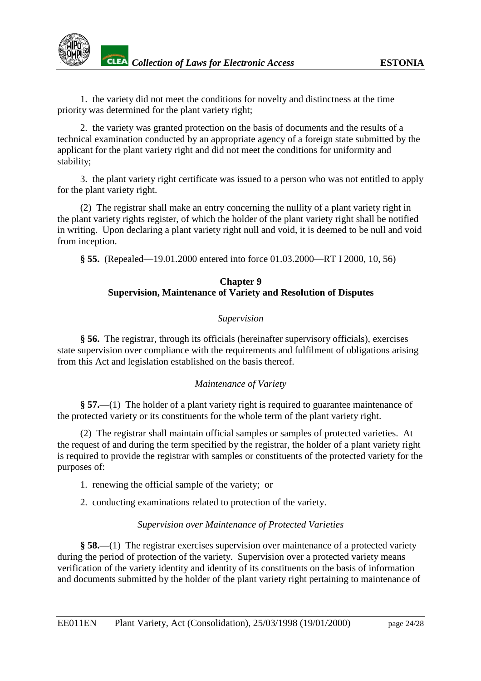1. the variety did not meet the conditions for novelty and distinctness at the time priority was determined for the plant variety right;

2. the variety was granted protection on the basis of documents and the results of a technical examination conducted by an appropriate agency of a foreign state submitted by the applicant for the plant variety right and did not meet the conditions for uniformity and stability;

3. the plant variety right certificate was issued to a person who was not entitled to apply for the plant variety right.

(2) The registrar shall make an entry concerning the nullity of a plant variety right in the plant variety rights register, of which the holder of the plant variety right shall be notified in writing. Upon declaring a plant variety right null and void, it is deemed to be null and void from inception.

**§ 55.** (Repealed—19.01.2000 entered into force 01.03.2000—RT I 2000, 10, 56)

# **Chapter 9 Supervision, Maintenance of Variety and Resolution of Disputes**

# *Supervision*

**§ 56.** The registrar, through its officials (hereinafter supervisory officials), exercises state supervision over compliance with the requirements and fulfilment of obligations arising from this Act and legislation established on the basis thereof.

# *Maintenance of Variety*

**§ 57.**—(1) The holder of a plant variety right is required to guarantee maintenance of the protected variety or its constituents for the whole term of the plant variety right.

(2) The registrar shall maintain official samples or samples of protected varieties. At the request of and during the term specified by the registrar, the holder of a plant variety right is required to provide the registrar with samples or constituents of the protected variety for the purposes of:

- 1. renewing the official sample of the variety; or
- 2. conducting examinations related to protection of the variety.

# *Supervision over Maintenance of Protected Varieties*

**§ 58.**—(1) The registrar exercises supervision over maintenance of a protected variety during the period of protection of the variety. Supervision over a protected variety means verification of the variety identity and identity of its constituents on the basis of information and documents submitted by the holder of the plant variety right pertaining to maintenance of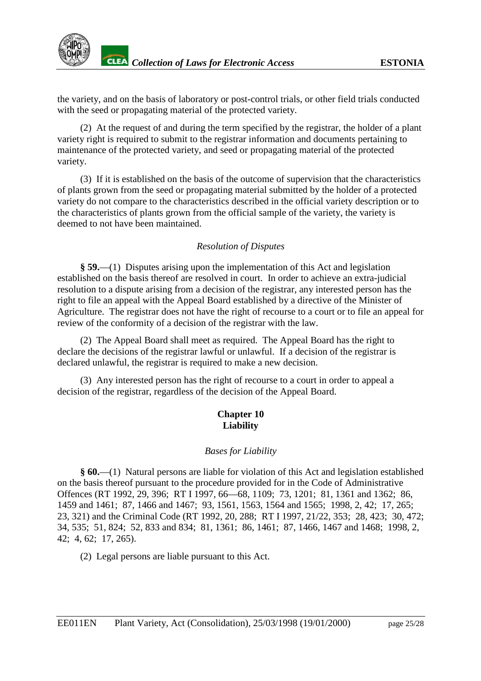the variety, and on the basis of laboratory or post-control trials, or other field trials conducted with the seed or propagating material of the protected variety.

(2) At the request of and during the term specified by the registrar, the holder of a plant variety right is required to submit to the registrar information and documents pertaining to maintenance of the protected variety, and seed or propagating material of the protected variety.

(3) If it is established on the basis of the outcome of supervision that the characteristics of plants grown from the seed or propagating material submitted by the holder of a protected variety do not compare to the characteristics described in the official variety description or to the characteristics of plants grown from the official sample of the variety, the variety is deemed to not have been maintained.

# *Resolution of Disputes*

**§ 59.**—(1) Disputes arising upon the implementation of this Act and legislation established on the basis thereof are resolved in court. In order to achieve an extra-judicial resolution to a dispute arising from a decision of the registrar, any interested person has the right to file an appeal with the Appeal Board established by a directive of the Minister of Agriculture. The registrar does not have the right of recourse to a court or to file an appeal for review of the conformity of a decision of the registrar with the law.

(2) The Appeal Board shall meet as required. The Appeal Board has the right to declare the decisions of the registrar lawful or unlawful. If a decision of the registrar is declared unlawful, the registrar is required to make a new decision.

(3) Any interested person has the right of recourse to a court in order to appeal a decision of the registrar, regardless of the decision of the Appeal Board.

# **Chapter 10 Liability**

# *Bases for Liability*

**§ 60.**—(1) Natural persons are liable for violation of this Act and legislation established on the basis thereof pursuant to the procedure provided for in the Code of Administrative Offences (RT 1992, 29, 396; RT I 1997, 66—68, 1109; 73, 1201; 81, 1361 and 1362; 86, 1459 and 1461; 87, 1466 and 1467; 93, 1561, 1563, 1564 and 1565; 1998, 2, 42; 17, 265; 23, 321) and the Criminal Code (RT 1992, 20, 288; RT I 1997, 21/22, 353; 28, 423; 30, 472; 34, 535; 51, 824; 52, 833 and 834; 81, 1361; 86, 1461; 87, 1466, 1467 and 1468; 1998, 2, 42; 4, 62; 17, 265).

(2) Legal persons are liable pursuant to this Act.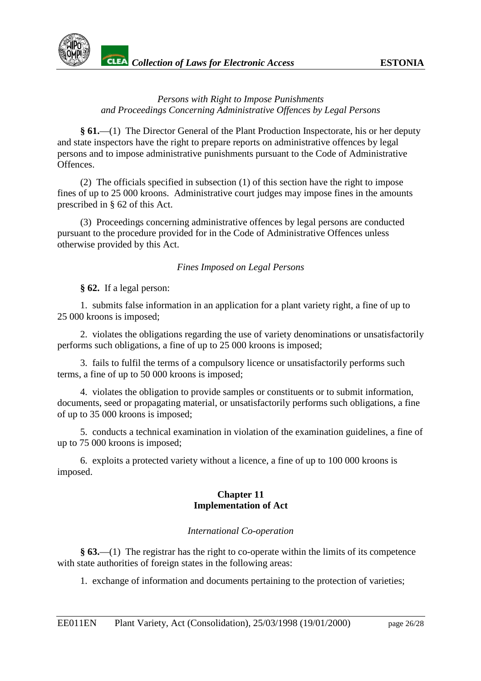

# *Persons with Right to Impose Punishments and Proceedings Concerning Administrative Offences by Legal Persons*

**§ 61.**—(1) The Director General of the Plant Production Inspectorate, his or her deputy and state inspectors have the right to prepare reports on administrative offences by legal persons and to impose administrative punishments pursuant to the Code of Administrative Offences.

(2) The officials specified in subsection (1) of this section have the right to impose fines of up to 25 000 kroons. Administrative court judges may impose fines in the amounts prescribed in § 62 of this Act.

(3) Proceedings concerning administrative offences by legal persons are conducted pursuant to the procedure provided for in the Code of Administrative Offences unless otherwise provided by this Act.

# *Fines Imposed on Legal Persons*

**§ 62.** If a legal person:

1. submits false information in an application for a plant variety right, a fine of up to 25 000 kroons is imposed;

2. violates the obligations regarding the use of variety denominations or unsatisfactorily performs such obligations, a fine of up to 25 000 kroons is imposed;

3. fails to fulfil the terms of a compulsory licence or unsatisfactorily performs such terms, a fine of up to 50 000 kroons is imposed;

4. violates the obligation to provide samples or constituents or to submit information, documents, seed or propagating material, or unsatisfactorily performs such obligations, a fine of up to 35 000 kroons is imposed;

5. conducts a technical examination in violation of the examination guidelines, a fine of up to 75 000 kroons is imposed;

6. exploits a protected variety without a licence, a fine of up to 100 000 kroons is imposed.

# **Chapter 11 Implementation of Act**

# *International Co-operation*

**§ 63.**—(1) The registrar has the right to co-operate within the limits of its competence with state authorities of foreign states in the following areas:

1. exchange of information and documents pertaining to the protection of varieties;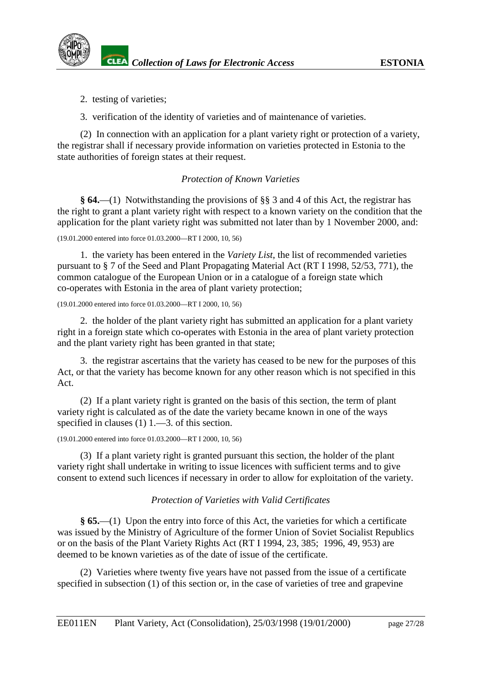

2. testing of varieties;

3. verification of the identity of varieties and of maintenance of varieties.

(2) In connection with an application for a plant variety right or protection of a variety, the registrar shall if necessary provide information on varieties protected in Estonia to the state authorities of foreign states at their request.

# *Protection of Known Varieties*

**§ 64.**—(1) Notwithstanding the provisions of §§ 3 and 4 of this Act, the registrar has the right to grant a plant variety right with respect to a known variety on the condition that the application for the plant variety right was submitted not later than by 1 November 2000, and:

(19.01.2000 entered into force 01.03.2000—RT I 2000, 10, 56)

1. the variety has been entered in the *Variety List*, the list of recommended varieties pursuant to § 7 of the Seed and Plant Propagating Material Act (RT I 1998, 52/53, 771), the common catalogue of the European Union or in a catalogue of a foreign state which co-operates with Estonia in the area of plant variety protection;

(19.01.2000 entered into force 01.03.2000—RT I 2000, 10, 56)

2. the holder of the plant variety right has submitted an application for a plant variety right in a foreign state which co-operates with Estonia in the area of plant variety protection and the plant variety right has been granted in that state;

3. the registrar ascertains that the variety has ceased to be new for the purposes of this Act, or that the variety has become known for any other reason which is not specified in this Act.

(2) If a plant variety right is granted on the basis of this section, the term of plant variety right is calculated as of the date the variety became known in one of the ways specified in clauses (1) 1.—3. of this section.

(19.01.2000 entered into force 01.03.2000—RT I 2000, 10, 56)

(3) If a plant variety right is granted pursuant this section, the holder of the plant variety right shall undertake in writing to issue licences with sufficient terms and to give consent to extend such licences if necessary in order to allow for exploitation of the variety.

# *Protection of Varieties with Valid Certificates*

**§ 65.**—(1) Upon the entry into force of this Act, the varieties for which a certificate was issued by the Ministry of Agriculture of the former Union of Soviet Socialist Republics or on the basis of the Plant Variety Rights Act (RT I 1994, 23, 385; 1996, 49, 953) are deemed to be known varieties as of the date of issue of the certificate.

(2) Varieties where twenty five years have not passed from the issue of a certificate specified in subsection (1) of this section or, in the case of varieties of tree and grapevine